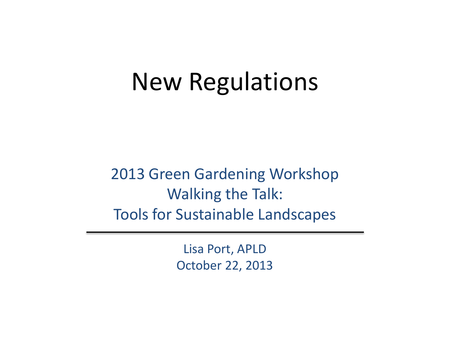#### New Regulations

2013 Green Gardening Workshop Walking the Talk: Tools for Sustainable Landscapes

> Lisa Port, APLD October 22, 2013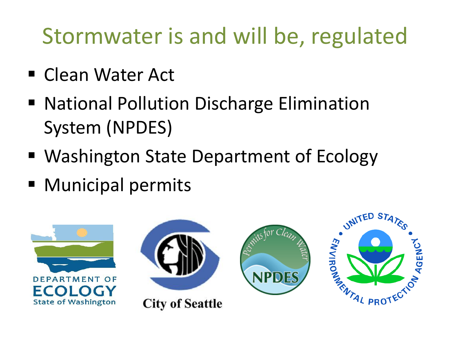### Stormwater is and will be, regulated

- Clean Water Act
- National Pollution Discharge Elimination System (NPDES)
- Washington State Department of Ecology
- Municipal permits

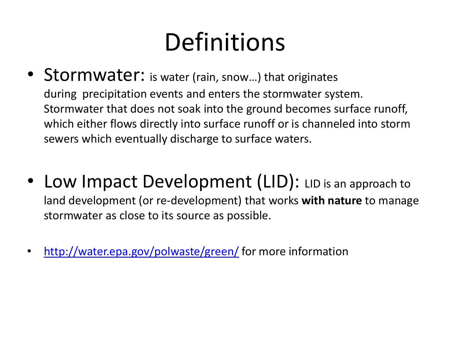## **Definitions**

- Stormwater: is water (rain, snow...) that originates during precipitation events and enters the stormwater system. Stormwater that does not soak into the ground becomes surface runoff, which either flows directly into surface runoff or is channeled into storm sewers which eventually discharge to surface waters.
- Low Impact Development (LID): LID is an approach to land development (or re-development) that works **with nature** to manage stormwater as close to its source as possible.
- <http://water.epa.gov/polwaste/green/> for more information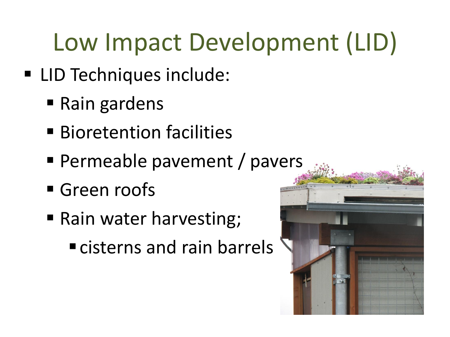# Low Impact Development (LID)

- LID Techniques include:
	- Rain gardens
	- **Bioretention facilities**
	- **Permeable pavement / pavers**
	- Green roofs
	- Rain water harvesting; **Exercise and rain barrels**

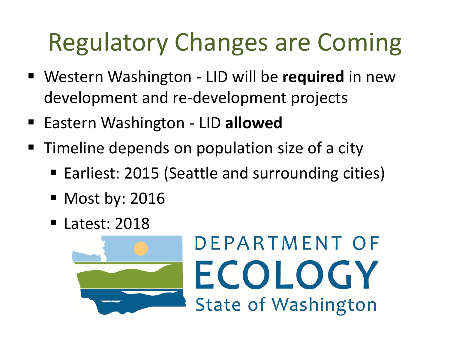## Regulatory Changes are Coming

- Western Washington LID will be **required** in new development and re-development projects
- Eastern Washington LID allowed
- **Timeline depends on population size of a city** 
	- Earliest: 2015 (Seattle and surrounding cities)

DEPARTMENT OF

ECOLOGY

**State of Washington** 

- Most by: 2016
- Latest: 2018

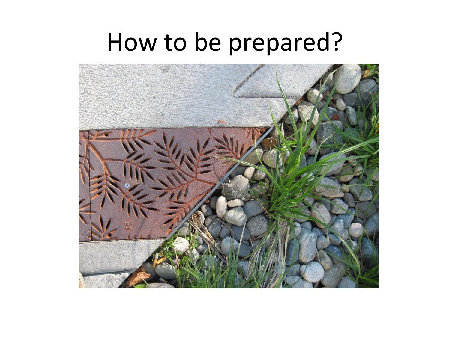### How to be prepared?

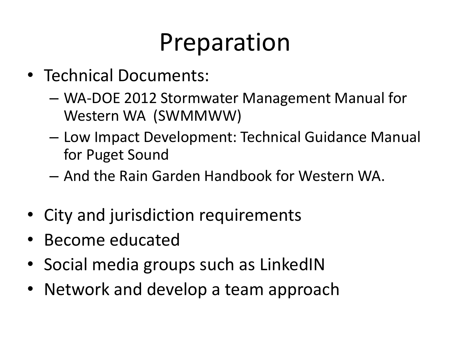### Preparation

- Technical Documents:
	- WA-DOE 2012 Stormwater Management Manual for Western WA (SWMMWW)
	- Low Impact Development: Technical Guidance Manual for Puget Sound
	- And the Rain Garden Handbook for Western WA.
- City and jurisdiction requirements
- Become educated
- Social media groups such as LinkedIN
- Network and develop a team approach